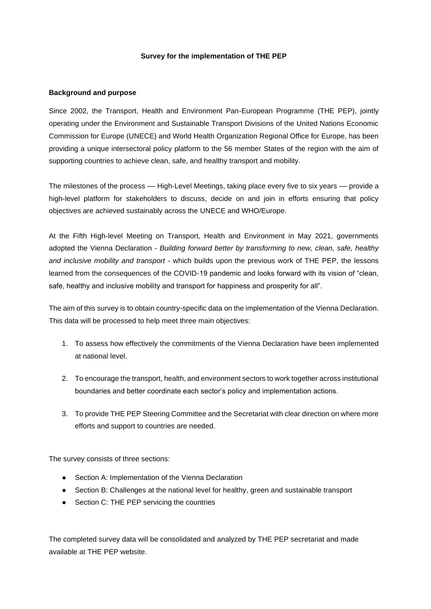## **Survey for the implementation of THE PEP**

### **Background and purpose**

Since 2002, the Transport, Health and Environment Pan-European Programme (THE PEP), jointly operating under the Environment and Sustainable Transport Divisions of the United Nations Economic Commission for Europe (UNECE) and World Health Organization Regional Office for Europe, has been providing a unique intersectoral policy platform to the 56 member States of the region with the aim of supporting countries to achieve clean, safe, and healthy transport and mobility.

The milestones of the process — High-Level Meetings, taking place every five to six years — provide a high-level platform for stakeholders to discuss, decide on and join in efforts ensuring that policy objectives are achieved sustainably across the UNECE and WHO/Europe.

At the Fifth High-level Meeting on Transport, Health and Environment in May 2021, governments adopted the Vienna Declaration - *Building forward better by transforming to new, clean, safe, healthy and inclusive mobility and transport* - which builds upon the previous work of THE PEP, the lessons learned from the consequences of the COVID-19 pandemic and looks forward with its vision of "clean, safe, healthy and inclusive mobility and transport for happiness and prosperity for all".

The aim of this survey is to obtain country-specific data on the implementation of the Vienna Declaration. This data will be processed to help meet three main objectives:

- 1. To assess how effectively the commitments of the Vienna Declaration have been implemented at national level.
- 2. To encourage the transport, health, and environment sectors to work together across institutional boundaries and better coordinate each sector's policy and implementation actions.
- 3. To provide THE PEP Steering Committee and the Secretariat with clear direction on where more efforts and support to countries are needed.

The survey consists of three sections:

- Section A: Implementation of the Vienna Declaration
- Section B: Challenges at the national level for healthy, green and sustainable transport
- Section C: THE PEP servicing the countries

The completed survey data will be consolidated and analyzed by THE PEP secretariat and made available at THE PEP website.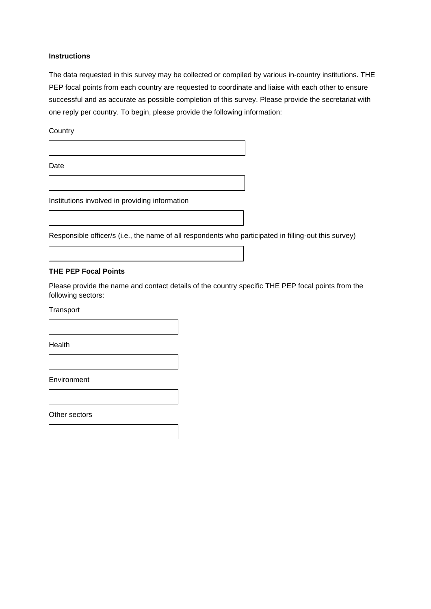## **Instructions**

The data requested in this survey may be collected or compiled by various in-country institutions. THE PEP focal points from each country are requested to coordinate and liaise with each other to ensure successful and as accurate as possible completion of this survey. Please provide the secretariat with one reply per country. To begin, please provide the following information:

**Country** 

Date

Institutions involved in providing information

Responsible officer/s (i.e., the name of all respondents who participated in filling-out this survey)

#### **THE PEP Focal Points**

Please provide the name and contact details of the country specific THE PEP focal points from the following sectors:

#### **Transport**

**Health** 

**Environment** 

Other sectors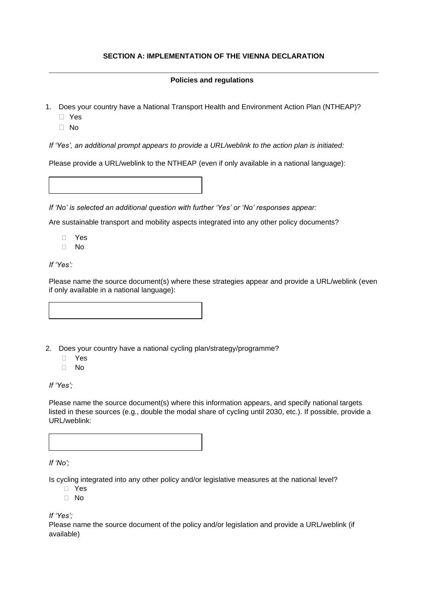# **SECTION A: IMPLEMENTATION OF THE VIENNA DECLARATION**

# **Policies and regulations**

- 1. Does your country have a National Transport Health and Environment Action Plan (NTHEAP)?
	- Yes
	- No

*If 'Yes', an additional prompt appears to provide a URL/weblink to the action plan is initiated:*

Please provide a URL/weblink to the NTHEAP (even if only available in a national language):

*If 'No' is selected an additional question with further 'Yes' or 'No' responses appear:* 

Are sustainable transport and mobility aspects integrated into any other policy documents?

 Yes No

*If 'Yes':*

Please name the source document(s) where these strategies appear and provide a URL/weblink (even if only available in a national language):

2. Does your country have a national cycling plan/strategy/programme?

- Yes
- No

*If 'Yes';* 

Please name the source document(s) where this information appears, and specify national targets listed in these sources (e.g., double the modal share of cycling until 2030, etc.). If possible, provide a URL/weblink:

*If 'No';* 

Is cycling integrated into any other policy and/or legislative measures at the national level?

- Yes
- $\Box$  No

*If 'Yes';* 

Please name the source document of the policy and/or legislation and provide a URL/weblink (if available)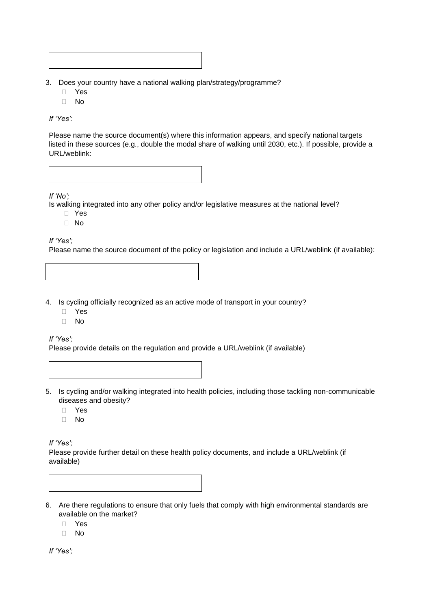

- 3. Does your country have a national walking plan/strategy/programme?
	- Yes
	- □ No

*If 'Yes':*

Please name the source document(s) where this information appears, and specify national targets listed in these sources (e.g., double the modal share of walking until 2030, etc.). If possible, provide a URL/weblink:

*If 'No';* 

Is walking integrated into any other policy and/or legislative measures at the national level?

- Yes
- No

*If 'Yes';* 

Please name the source document of the policy or legislation and include a URL/weblink (if available):

4. Is cycling officially recognized as an active mode of transport in your country?

- Yes
- No

*If 'Yes';* 

Please provide details on the regulation and provide a URL/weblink (if available)



- Yes
- No

*If 'Yes';* 

Please provide further detail on these health policy documents, and include a URL/weblink (if available)

- 6. Are there regulations to ensure that only fuels that comply with high environmental standards are available on the market?
	- Yes
	- No

*If 'Yes';*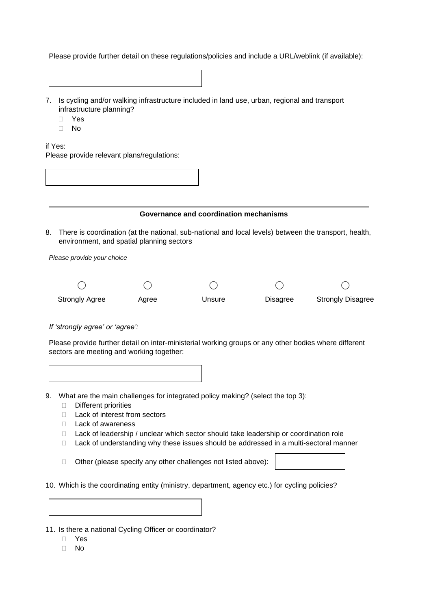Please provide further detail on these regulations/policies and include a URL/weblink (if available):

| 7. Is cycling and/or walking infrastructure included in land use, urban, regional and transport |
|-------------------------------------------------------------------------------------------------|
| infrastructure planning?                                                                        |

- Yes
- No

#### if Yes:

Please provide relevant plans/regulations:



# *If 'strongly agree' or 'agree':*

Please provide further detail on inter-ministerial working groups or any other bodies where different sectors are meeting and working together:



- 9. What are the main challenges for integrated policy making? (select the top 3):
	- Different priorities
	- □ Lack of interest from sectors
	- $\Box$  Lack of awareness
	- □ Lack of leadership / unclear which sector should take leadership or coordination role
	- $\Box$  Lack of understanding why these issues should be addressed in a multi-sectoral manner

Other (please specify any other challenges not listed above):

10. Which is the coordinating entity (ministry, department, agency etc.) for cycling policies?

11. Is there a national Cycling Officer or coordinator?

- Yes
- □ No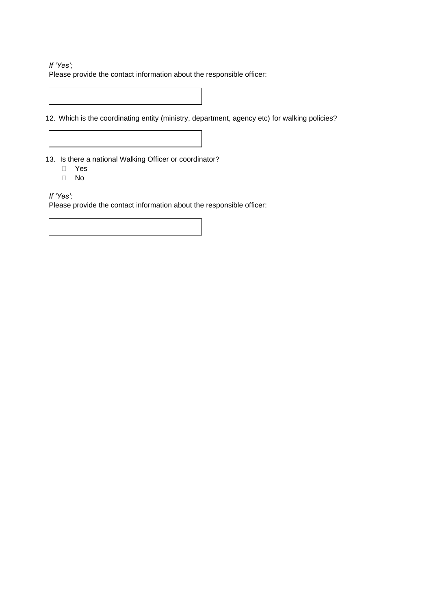*If 'Yes';* 

Please provide the contact information about the responsible officer:

12. Which is the coordinating entity (ministry, department, agency etc) for walking policies?

13. Is there a national Walking Officer or coordinator?

- Yes
- No

*If 'Yes';* 

Please provide the contact information about the responsible officer: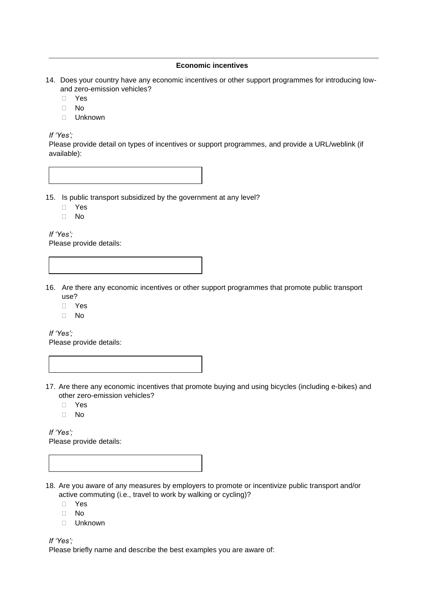#### **Economic incentives**

- 14. Does your country have any economic incentives or other support programmes for introducing lowand zero-emission vehicles?
	- Yes
	- $\Box$  No
	- Unknown

*If 'Yes';* 

Please provide detail on types of incentives or support programmes, and provide a URL/weblink (if available):

15. Is public transport subsidized by the government at any level?

- Yes
- No

*If 'Yes';* 

Please provide details:

16. Are there any economic incentives or other support programmes that promote public transport use?

- Yes
- $\Box$  No

*If 'Yes';*  Please provide details:

17. Are there any economic incentives that promote buying and using bicycles (including e-bikes) and other zero-emission vehicles?

- Yes
- □ No

*If 'Yes';*  Please provide details:

18. Are you aware of any measures by employers to promote or incentivize public transport and/or active commuting (i.e., travel to work by walking or cycling)?

- Yes
- No
- Unknown

*If 'Yes';* 

Please briefly name and describe the best examples you are aware of: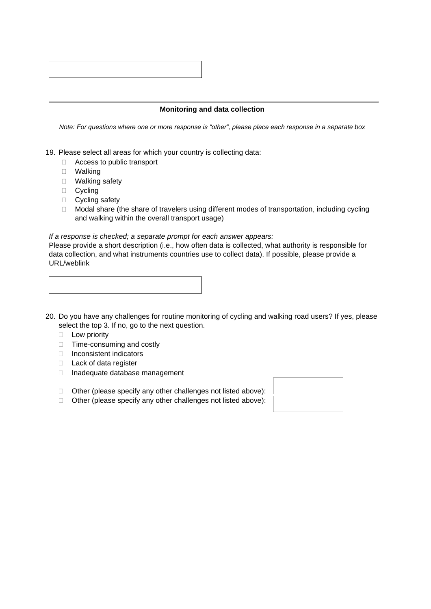## **Monitoring and data collection**

*Note: For questions where one or more response is "other", please place each response in a separate box*

19. Please select all areas for which your country is collecting data:

- □ Access to public transport
- Walking
- □ Walking safety
- D Cycling
- □ Cycling safety
- $\Box$  Modal share (the share of travelers using different modes of transportation, including cycling and walking within the overall transport usage)

#### *If a response is checked; a separate prompt for each answer appears:*

Please provide a short description (i.e., how often data is collected, what authority is responsible for data collection, and what instruments countries use to collect data). If possible, please provide a URL/weblink

- 20. Do you have any challenges for routine monitoring of cycling and walking road users? If yes, please select the top 3. If no, go to the next question.
	- $\Box$  Low priority
	- □ Time-consuming and costly
	- □ Inconsistent indicators
	- □ Lack of data register
	- □ Inadequate database management
	- $\Box$  Other (please specify any other challenges not listed above):
	- $\Box$  Other (please specify any other challenges not listed above):

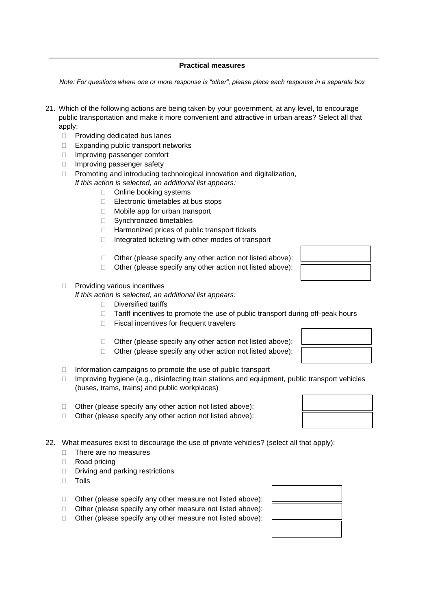#### **Practical measures**

*Note: For questions where one or more response is "other", please place each response in a separate box*

- 21. Which of the following actions are being taken by your government, at any level, to encourage public transportation and make it more convenient and attractive in urban areas? Select all that apply:
	- $\Box$  Providing dedicated bus lanes
	- □ Expanding public transport networks
	- □ Improving passenger comfort
	- $\Box$  Improving passenger safety
	- $\Box$  Promoting and introducing technological innovation and digitalization, *If this action is selected, an additional list appears:*
		- □ Online booking systems
		- Electronic timetables at bus stops
		- □ Mobile app for urban transport
		- □ Synchronized timetables
		- $\Box$  Harmonized prices of public transport tickets
		- $\Box$  Integrated ticketing with other modes of transport
		- $\Box$  Other (please specify any other action not listed above):
		- $\Box$  Other (please specify any other action not listed above):

#### $\Box$  Providing various incentives

*If this action is selected, an additional list appears:*

- Diversified tariffs
- $\Box$  Tariff incentives to promote the use of public transport during off-peak hours
- $\Box$  Fiscal incentives for frequent travelers
- $\Box$  Other (please specify any other action not listed above):
- $\Box$  Other (please specify any other action not listed above):
- $\Box$  Information campaigns to promote the use of public transport
- $\Box$  Improving hygiene (e.g., disinfecting train stations and equipment, public transport vehicles (buses, trams, trains) and public workplaces)
- $\Box$  Other (please specify any other action not listed above):
- $\Box$  Other (please specify any other action not listed above):

22. What measures exist to discourage the use of private vehicles? (select all that apply):

- □ There are no measures
- Road pricing
- $\Box$  Driving and parking restrictions
- $\Box$  Tolls
- $\Box$  Other (please specify any other measure not listed above):
- $\Box$  Other (please specify any other measure not listed above):
- $\Box$  Other (please specify any other measure not listed above):



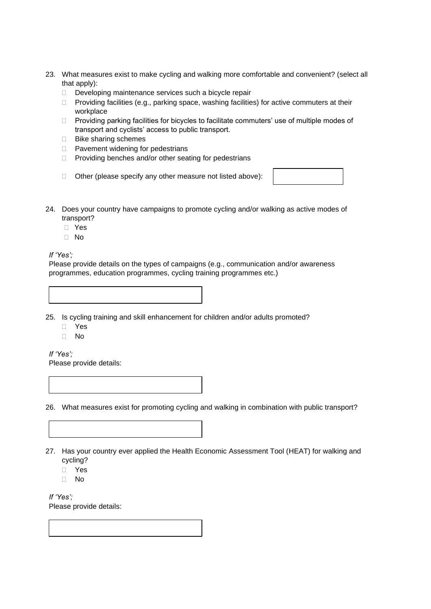- 23. What measures exist to make cycling and walking more comfortable and convenient? (select all that apply):
	- Developing maintenance services such a bicycle repair
	- $\Box$  Providing facilities (e.g., parking space, washing facilities) for active commuters at their workplace
	- □ Providing parking facilities for bicycles to facilitate commuters' use of multiple modes of transport and cyclists' access to public transport.
	- □ Bike sharing schemes
	- □ Pavement widening for pedestrians
	- $\Box$  Providing benches and/or other seating for pedestrians
	- $\Box$  Other (please specify any other measure not listed above):
- 24. Does your country have campaigns to promote cycling and/or walking as active modes of transport?
	- Yes
	- No

## *If 'Yes';*

Please provide details on the types of campaigns (e.g., communication and/or awareness programmes, education programmes, cycling training programmes etc.)



25. Is cycling training and skill enhancement for children and/or adults promoted?

- Yes
- $\Box$  No

*If 'Yes';*  Please provide details:

26. What measures exist for promoting cycling and walking in combination with public transport?



- Yes
- No

*If 'Yes';*  Please provide details: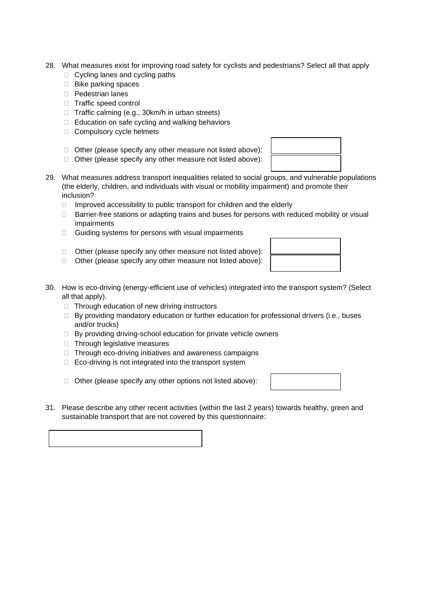- 28. What measures exist for improving road safety for cyclists and pedestrians? Select all that apply
	- $\Box$  Cycling lanes and cycling paths
	- $\Box$  Bike parking spaces
	- D Pedestrian lanes
	- □ Traffic speed control
	- $\Box$  Traffic calming (e.g., 30km/h in urban streets)
	- $\Box$  Education on safe cycling and walking behaviors
	- Compulsory cycle helmets
	- $\Box$  Other (please specify any other measure not listed above):
	- $\Box$  Other (please specify any other measure not listed above):



- 29. What measures address transport inequalities related to social groups, and vulnerable populations (the elderly, children, and individuals with visual or mobility impairment) and promote their inclusion?
	- $\Box$  Improved accessibility to public transport for children and the elderly
	- $\Box$  Barrier-free stations or adapting trains and buses for persons with reduced mobility or visual impairments
	- $\Box$  Guiding systems for persons with visual impairments
	- $\Box$  Other (please specify any other measure not listed above):
	- $\Box$  Other (please specify any other measure not listed above):



- 30. How is eco-driving (energy-efficient use of vehicles) integrated into the transport system? (Select all that apply).
	- $\Box$  Through education of new driving instructors
	- $\Box$  By providing mandatory education or further education for professional drivers (i.e., buses and/or trucks)
	- □ By providing driving-school education for private vehicle owners
	- □ Through legislative measures
	- $\Box$  Through eco-driving initiatives and awareness campaigns
	- $\Box$  Eco-driving is not integrated into the transport system
	- $\Box$  Other (please specify any other options not listed above):



31. Please describe any other recent activities (within the last 2 years) towards healthy, green and sustainable transport that are not covered by this questionnaire: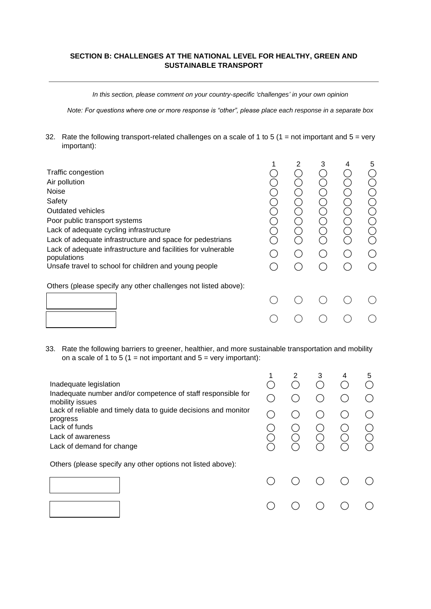## **SECTION B: CHALLENGES AT THE NATIONAL LEVEL FOR HEALTHY, GREEN AND SUSTAINABLE TRANSPORT**

*In this section, please comment on your country-specific 'challenges' in your own opinion*

*Note: For questions where one or more response is "other", please place each response in a separate box*

32. Rate the following transport-related challenges on a scale of 1 to 5 (1 = not important and  $5 = \text{very}$ ) important):

| Traffic congestion<br>Air pollution<br><b>Noise</b><br>Safety<br>Outdated vehicles<br>Poor public transport systems<br>Lack of adequate cycling infrastructure<br>Lack of adequate infrastructure and space for pedestrians<br>Lack of adequate infrastructure and facilities for vulnerable<br>populations<br>Unsafe travel to school for children and young people |  | 3 | 4 | 5 |
|----------------------------------------------------------------------------------------------------------------------------------------------------------------------------------------------------------------------------------------------------------------------------------------------------------------------------------------------------------------------|--|---|---|---|
| Others (please specify any other challenges not listed above):                                                                                                                                                                                                                                                                                                       |  |   |   |   |
|                                                                                                                                                                                                                                                                                                                                                                      |  |   |   |   |
|                                                                                                                                                                                                                                                                                                                                                                      |  |   |   |   |

33. Rate the following barriers to greener, healthier, and more sustainable transportation and mobility on a scale of 1 to 5 (1 = not important and  $5 = \text{very important}$ ):

| Inadequate legislation<br>Inadequate number and/or competence of staff responsible for<br>mobility issues<br>Lack of reliable and timely data to guide decisions and monitor | 2 | 3 | 5 |
|------------------------------------------------------------------------------------------------------------------------------------------------------------------------------|---|---|---|
| progress<br>Lack of funds<br>Lack of awareness<br>Lack of demand for change                                                                                                  |   |   |   |
| Others (please specify any other options not listed above):                                                                                                                  |   |   |   |
|                                                                                                                                                                              |   |   |   |
|                                                                                                                                                                              |   |   |   |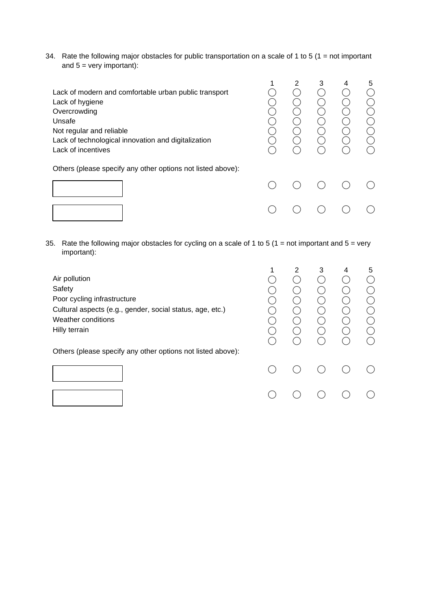34. Rate the following major obstacles for public transportation on a scale of 1 to 5 (1 = not important and  $5 = \text{very important}$ :

| Lack of modern and comfortable urban public transport<br>Lack of hygiene<br>Overcrowding<br>Unsafe<br>Not regular and reliable<br>Lack of technological innovation and digitalization<br>Lack of incentives | 2 | 3 | 5 |
|-------------------------------------------------------------------------------------------------------------------------------------------------------------------------------------------------------------|---|---|---|
| Others (please specify any other options not listed above):                                                                                                                                                 |   |   |   |
|                                                                                                                                                                                                             |   |   |   |
|                                                                                                                                                                                                             |   |   |   |

35. Rate the following major obstacles for cycling on a scale of 1 to 5 (1 = not important and 5 = very important):

| Air pollution<br>Safety<br>Poor cycling infrastructure<br>Cultural aspects (e.g., gender, social status, age, etc.)<br>Weather conditions<br>Hilly terrain<br>Others (please specify any other options not listed above): | 2 | 3 | 4 | 5 |
|---------------------------------------------------------------------------------------------------------------------------------------------------------------------------------------------------------------------------|---|---|---|---|
|                                                                                                                                                                                                                           |   |   |   |   |
|                                                                                                                                                                                                                           |   |   |   |   |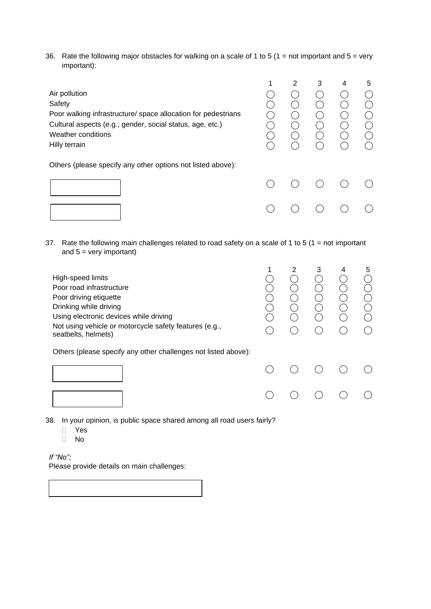36. Rate the following major obstacles for walking on a scale of 1 to 5 (1 = not important and 5 = very important):

|                                                               | 1 | $\mathcal{P}$ | 3 | 4 | 5 |
|---------------------------------------------------------------|---|---------------|---|---|---|
| Air pollution                                                 |   |               |   |   |   |
| Safety                                                        |   |               |   |   |   |
| Poor walking infrastructure/ space allocation for pedestrians |   |               |   |   |   |
| Cultural aspects (e.g., gender, social status, age, etc.)     |   |               |   |   |   |
| <b>Weather conditions</b>                                     |   |               |   |   |   |
| Hilly terrain                                                 |   |               |   |   |   |
| Others (please specify any other options not listed above):   |   |               |   |   |   |
|                                                               |   |               |   |   |   |
|                                                               |   |               |   |   |   |
|                                                               |   |               |   |   |   |

37. Rate the following main challenges related to road safety on a scale of 1 to 5 (1 = not important and  $5 = \text{very important}$ )

| High-speed limits<br>Poor road infrastructure<br>Poor driving etiquette<br>Drinking while driving<br>Using electronic devices while driving<br>Not using vehicle or motorcycle safety features (e.g.,<br>seatbelts, helmets) |  | 3 | 5 |
|------------------------------------------------------------------------------------------------------------------------------------------------------------------------------------------------------------------------------|--|---|---|
| Others (please specify any other challenges not listed above):                                                                                                                                                               |  |   |   |
|                                                                                                                                                                                                                              |  |   |   |
|                                                                                                                                                                                                                              |  |   |   |

- 38. In your opinion, is public space shared among all road users fairly?
	- Yes
	- No

# *If "No";*

Please provide details on main challenges: